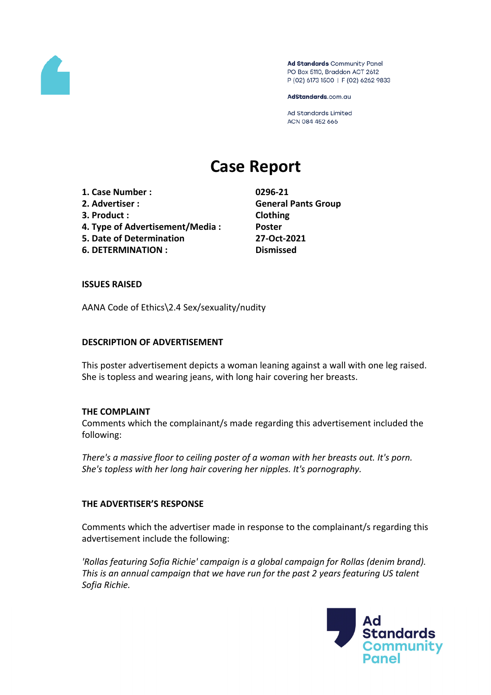

Ad Standards Community Panel PO Box 5110, Braddon ACT 2612 P (02) 6173 1500 | F (02) 6262 9833

AdStandards.com.au

Ad Standards Limited ACN 084 452 666

# **Case Report**

**1. Case Number : 0296-21 2. Advertiser : General Pants Group 3. Product : Clothing**

- **4. Type of Advertisement/Media : Poster**
- **5. Date of Determination 27-Oct-2021**
- **6. DETERMINATION : Dismissed**

#### **ISSUES RAISED**

AANA Code of Ethics\2.4 Sex/sexuality/nudity

#### **DESCRIPTION OF ADVERTISEMENT**

This poster advertisement depicts a woman leaning against a wall with one leg raised. She is topless and wearing jeans, with long hair covering her breasts.

## **THE COMPLAINT**

Comments which the complainant/s made regarding this advertisement included the following:

*There's a massive floor to ceiling poster of a woman with her breasts out. It's porn. She's topless with her long hair covering her nipples. It's pornography.*

## **THE ADVERTISER'S RESPONSE**

Comments which the advertiser made in response to the complainant/s regarding this advertisement include the following:

*'Rollas featuring Sofia Richie' campaign is a global campaign for Rollas (denim brand). This is an annual campaign that we have run for the past 2 years featuring US talent Sofia Richie.*

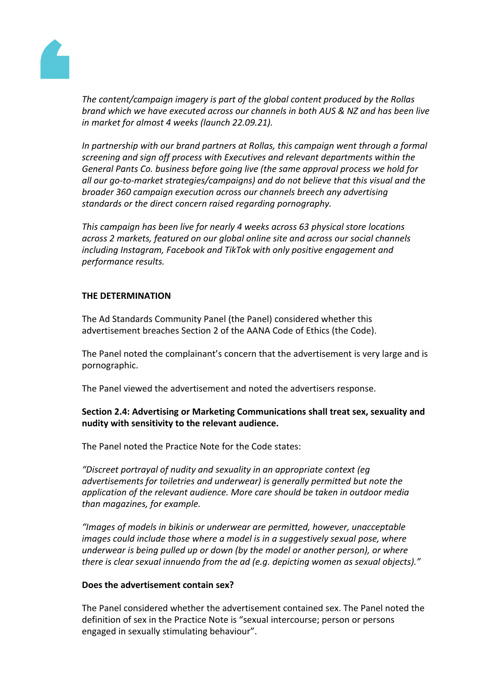

*The content/campaign imagery is part of the global content produced by the Rollas brand which we have executed across our channels in both AUS & NZ and has been live in market for almost 4 weeks (launch 22.09.21).*

*In partnership with our brand partners at Rollas, this campaign went through a formal screening and sign off process with Executives and relevant departments within the General Pants Co. business before going live (the same approval process we hold for all our go-to-market strategies/campaigns) and do not believe that this visual and the broader 360 campaign execution across our channels breech any advertising standards or the direct concern raised regarding pornography.*

*This campaign has been live for nearly 4 weeks across 63 physical store locations across 2 markets, featured on our global online site and across our social channels including Instagram, Facebook and TikTok with only positive engagement and performance results.*

# **THE DETERMINATION**

The Ad Standards Community Panel (the Panel) considered whether this advertisement breaches Section 2 of the AANA Code of Ethics (the Code).

The Panel noted the complainant's concern that the advertisement is very large and is pornographic.

The Panel viewed the advertisement and noted the advertisers response.

# **Section 2.4: Advertising or Marketing Communications shall treat sex, sexuality and nudity with sensitivity to the relevant audience.**

The Panel noted the Practice Note for the Code states:

*"Discreet portrayal of nudity and sexuality in an appropriate context (eg advertisements for toiletries and underwear) is generally permitted but note the application of the relevant audience. More care should be taken in outdoor media than magazines, for example.*

*"Images of models in bikinis or underwear are permitted, however, unacceptable images could include those where a model is in a suggestively sexual pose, where underwear is being pulled up or down (by the model or another person), or where there is clear sexual innuendo from the ad (e.g. depicting women as sexual objects)."*

## **Does the advertisement contain sex?**

The Panel considered whether the advertisement contained sex. The Panel noted the definition of sex in the Practice Note is "sexual intercourse; person or persons engaged in sexually stimulating behaviour".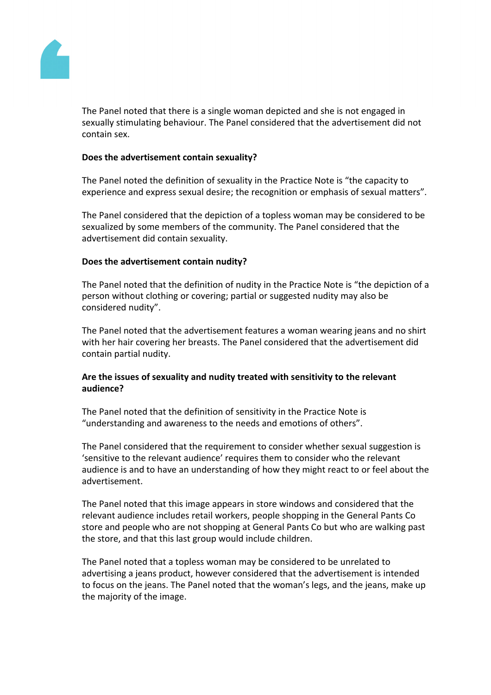

The Panel noted that there is a single woman depicted and she is not engaged in sexually stimulating behaviour. The Panel considered that the advertisement did not contain sex.

#### **Does the advertisement contain sexuality?**

The Panel noted the definition of sexuality in the Practice Note is "the capacity to experience and express sexual desire; the recognition or emphasis of sexual matters".

The Panel considered that the depiction of a topless woman may be considered to be sexualized by some members of the community. The Panel considered that the advertisement did contain sexuality.

#### **Does the advertisement contain nudity?**

The Panel noted that the definition of nudity in the Practice Note is "the depiction of a person without clothing or covering; partial or suggested nudity may also be considered nudity".

The Panel noted that the advertisement features a woman wearing jeans and no shirt with her hair covering her breasts. The Panel considered that the advertisement did contain partial nudity.

# **Are the issues of sexuality and nudity treated with sensitivity to the relevant audience?**

The Panel noted that the definition of sensitivity in the Practice Note is "understanding and awareness to the needs and emotions of others".

The Panel considered that the requirement to consider whether sexual suggestion is 'sensitive to the relevant audience' requires them to consider who the relevant audience is and to have an understanding of how they might react to or feel about the advertisement.

The Panel noted that this image appears in store windows and considered that the relevant audience includes retail workers, people shopping in the General Pants Co store and people who are not shopping at General Pants Co but who are walking past the store, and that this last group would include children.

The Panel noted that a topless woman may be considered to be unrelated to advertising a jeans product, however considered that the advertisement is intended to focus on the jeans. The Panel noted that the woman's legs, and the jeans, make up the majority of the image.